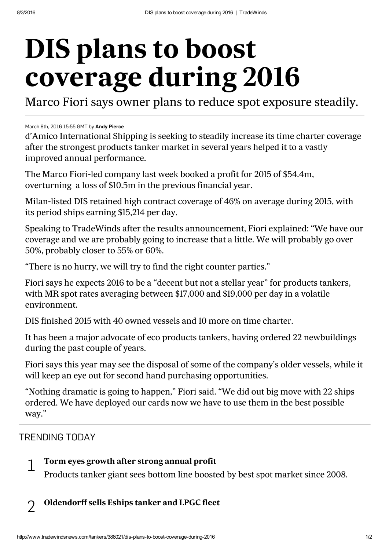# DIS plans to boost coverage during 2016

Marco Fiori says owner plans to reduce spot exposure steadily.

March 8th, 2016 15:55 GMT by Andy [Pierce](mailto:andy.pierce@tradewindsnews.com?subject=DIS%20plans%20to%20boost%20coverage%20during%202016)

d'Amico International Shipping is seeking to steadily increase its time charter coverage after the strongest products tanker market in several years helped it to a vastly improved annual performance.

The Marco Fiori-led company last week booked a profit for 2015 of \$54.4m, overturning a loss of \$10.5m in the previous financial year.

Milan-listed DIS retained high contract coverage of 46% on average during 2015, with its period ships earning \$15,214 per day.

Speaking to TradeWinds after the results announcement, Fiori explained: "We have our coverage and we are probably going to increase that a little. We will probably go over 50%, probably closer to 55% or 60%.

"There is no hurry, we will try to find the right counter parties."

Fiori says he expects 2016 to be a "decent but not a stellar year" for products tankers, with MR spot rates averaging between \$17,000 and \$19,000 per day in a volatile environment.

DIS finished 2015 with 40 owned vessels and 10 more on time charter.

It has been a major advocate of eco products tankers, having ordered 22 newbuildings during the past couple of years.

Fiori says this year may see the disposal of some of the company's older vessels, while it will keep an eye out for second hand purchasing opportunities.

"Nothing dramatic is going to happen," Fiori said. "We did out big move with 22 ships ordered. We have deployed our cards now we have to use them in the best possible way."

## TRENDING TODAY

#### Torm eyes [growth](http://www.tradewindsnews.com/tankers/388019/torm-eyes-growth-after-strong-annual-profit) after strong annual profit 1

Products tanker giant sees bottom line boosted by best spot market since 2008.

## [Oldendorff](http://www.tradewindsnews.com/tankers/388037/oldendorff-sells-eships-tanker-and-lpgc-fleet) sells Eships tanker and LPGC fleet 2